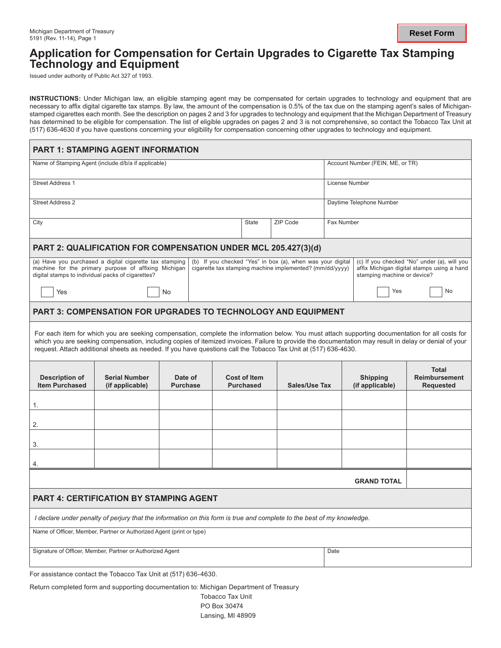## **Application for Compensation for Certain Upgrades to Cigarette Tax Stamping Technology and Equipment**

Issued under authority of Public Act 327 of 1993.

**INSTRUCTIONS:** Under Michigan law, an eligible stamping agent may be compensated for certain upgrades to technology and equipment that are necessary to affix digital cigarette tax stamps. By law, the amount of the compensation is 0.5% of the tax due on the stamping agent's sales of Michiganstamped cigarettes each month. See the description on pages 2 and 3 for upgrades to technology and equipment that the Michigan Department of Treasury has determined to be eligible for compensation. The list of eligible upgrades on pages 2 and 3 is not comprehensive, so contact the Tobacco Tax Unit at (517) 636-4630 if you have questions concerning your eligibility for compensation concerning other upgrades to technology and equipment.

| Name of Stamping Agent (include d/b/a if applicable)<br>Account Number (FEIN, ME, or TR)<br><b>Street Address 1</b><br>License Number<br><b>Street Address 2</b><br>Daytime Telephone Number<br>ZIP Code<br>Fax Number<br>City<br><b>State</b><br>PART 2: QUALIFICATION FOR COMPENSATION UNDER MCL 205.427(3)(d)<br>(a) Have you purchased a digital cigarette tax stamping<br>(b) If you checked "Yes" in box (a), when was your digital<br>(c) If you checked "No" under (a), will you<br>machine for the primary purpose of affixing Michigan<br>cigarette tax stamping machine implemented? (mm/dd/yyyy)<br>affix Michigan digital stamps using a hand<br>digital stamps to individual packs of cigarettes?<br>stamping machine or device?<br>No<br>Yes<br>Yes<br>No<br><b>PART 3: COMPENSATION FOR UPGRADES TO TECHNOLOGY AND EQUIPMENT</b><br>For each item for which you are seeking compensation, complete the information below. You must attach supporting documentation for all costs for<br>which you are seeking compensation, including copies of itemized invoices. Failure to provide the documentation may result in delay or denial of your<br>request. Attach additional sheets as needed. If you have questions call the Tobacco Tax Unit at (517) 636-4630.<br><b>Total</b><br><b>Description of</b><br><b>Serial Number</b><br>Date of<br><b>Cost of Item</b><br><b>Shipping</b><br><b>Reimbursement</b><br><b>Item Purchased</b><br>(if applicable)<br><b>Purchase</b><br><b>Purchased</b><br>Sales/Use Tax<br>(if applicable)<br><b>Requested</b><br>1.<br>2.<br>3.<br>4.<br><b>GRAND TOTAL</b><br><b>PART 4: CERTIFICATION BY STAMPING AGENT</b><br>I declare under penalty of perjury that the information on this form is true and complete to the best of my knowledge.<br>Name of Officer, Member, Partner or Authorized Agent (print or type)<br>Signature of Officer, Member, Partner or Authorized Agent<br>Date | <b>PART 1: STAMPING AGENT INFORMATION</b> |  |  |  |  |  |  |  |  |  |
|--------------------------------------------------------------------------------------------------------------------------------------------------------------------------------------------------------------------------------------------------------------------------------------------------------------------------------------------------------------------------------------------------------------------------------------------------------------------------------------------------------------------------------------------------------------------------------------------------------------------------------------------------------------------------------------------------------------------------------------------------------------------------------------------------------------------------------------------------------------------------------------------------------------------------------------------------------------------------------------------------------------------------------------------------------------------------------------------------------------------------------------------------------------------------------------------------------------------------------------------------------------------------------------------------------------------------------------------------------------------------------------------------------------------------------------------------------------------------------------------------------------------------------------------------------------------------------------------------------------------------------------------------------------------------------------------------------------------------------------------------------------------------------------------------------------------------------------------------------------------------------------------------------------------------------------------------|-------------------------------------------|--|--|--|--|--|--|--|--|--|
|                                                                                                                                                                                                                                                                                                                                                                                                                                                                                                                                                                                                                                                                                                                                                                                                                                                                                                                                                                                                                                                                                                                                                                                                                                                                                                                                                                                                                                                                                                                                                                                                                                                                                                                                                                                                                                                                                                                                                  |                                           |  |  |  |  |  |  |  |  |  |
|                                                                                                                                                                                                                                                                                                                                                                                                                                                                                                                                                                                                                                                                                                                                                                                                                                                                                                                                                                                                                                                                                                                                                                                                                                                                                                                                                                                                                                                                                                                                                                                                                                                                                                                                                                                                                                                                                                                                                  |                                           |  |  |  |  |  |  |  |  |  |
|                                                                                                                                                                                                                                                                                                                                                                                                                                                                                                                                                                                                                                                                                                                                                                                                                                                                                                                                                                                                                                                                                                                                                                                                                                                                                                                                                                                                                                                                                                                                                                                                                                                                                                                                                                                                                                                                                                                                                  |                                           |  |  |  |  |  |  |  |  |  |
|                                                                                                                                                                                                                                                                                                                                                                                                                                                                                                                                                                                                                                                                                                                                                                                                                                                                                                                                                                                                                                                                                                                                                                                                                                                                                                                                                                                                                                                                                                                                                                                                                                                                                                                                                                                                                                                                                                                                                  |                                           |  |  |  |  |  |  |  |  |  |
|                                                                                                                                                                                                                                                                                                                                                                                                                                                                                                                                                                                                                                                                                                                                                                                                                                                                                                                                                                                                                                                                                                                                                                                                                                                                                                                                                                                                                                                                                                                                                                                                                                                                                                                                                                                                                                                                                                                                                  |                                           |  |  |  |  |  |  |  |  |  |
|                                                                                                                                                                                                                                                                                                                                                                                                                                                                                                                                                                                                                                                                                                                                                                                                                                                                                                                                                                                                                                                                                                                                                                                                                                                                                                                                                                                                                                                                                                                                                                                                                                                                                                                                                                                                                                                                                                                                                  |                                           |  |  |  |  |  |  |  |  |  |
|                                                                                                                                                                                                                                                                                                                                                                                                                                                                                                                                                                                                                                                                                                                                                                                                                                                                                                                                                                                                                                                                                                                                                                                                                                                                                                                                                                                                                                                                                                                                                                                                                                                                                                                                                                                                                                                                                                                                                  |                                           |  |  |  |  |  |  |  |  |  |
|                                                                                                                                                                                                                                                                                                                                                                                                                                                                                                                                                                                                                                                                                                                                                                                                                                                                                                                                                                                                                                                                                                                                                                                                                                                                                                                                                                                                                                                                                                                                                                                                                                                                                                                                                                                                                                                                                                                                                  |                                           |  |  |  |  |  |  |  |  |  |
|                                                                                                                                                                                                                                                                                                                                                                                                                                                                                                                                                                                                                                                                                                                                                                                                                                                                                                                                                                                                                                                                                                                                                                                                                                                                                                                                                                                                                                                                                                                                                                                                                                                                                                                                                                                                                                                                                                                                                  |                                           |  |  |  |  |  |  |  |  |  |
|                                                                                                                                                                                                                                                                                                                                                                                                                                                                                                                                                                                                                                                                                                                                                                                                                                                                                                                                                                                                                                                                                                                                                                                                                                                                                                                                                                                                                                                                                                                                                                                                                                                                                                                                                                                                                                                                                                                                                  |                                           |  |  |  |  |  |  |  |  |  |
|                                                                                                                                                                                                                                                                                                                                                                                                                                                                                                                                                                                                                                                                                                                                                                                                                                                                                                                                                                                                                                                                                                                                                                                                                                                                                                                                                                                                                                                                                                                                                                                                                                                                                                                                                                                                                                                                                                                                                  |                                           |  |  |  |  |  |  |  |  |  |
|                                                                                                                                                                                                                                                                                                                                                                                                                                                                                                                                                                                                                                                                                                                                                                                                                                                                                                                                                                                                                                                                                                                                                                                                                                                                                                                                                                                                                                                                                                                                                                                                                                                                                                                                                                                                                                                                                                                                                  |                                           |  |  |  |  |  |  |  |  |  |
|                                                                                                                                                                                                                                                                                                                                                                                                                                                                                                                                                                                                                                                                                                                                                                                                                                                                                                                                                                                                                                                                                                                                                                                                                                                                                                                                                                                                                                                                                                                                                                                                                                                                                                                                                                                                                                                                                                                                                  |                                           |  |  |  |  |  |  |  |  |  |
|                                                                                                                                                                                                                                                                                                                                                                                                                                                                                                                                                                                                                                                                                                                                                                                                                                                                                                                                                                                                                                                                                                                                                                                                                                                                                                                                                                                                                                                                                                                                                                                                                                                                                                                                                                                                                                                                                                                                                  |                                           |  |  |  |  |  |  |  |  |  |
|                                                                                                                                                                                                                                                                                                                                                                                                                                                                                                                                                                                                                                                                                                                                                                                                                                                                                                                                                                                                                                                                                                                                                                                                                                                                                                                                                                                                                                                                                                                                                                                                                                                                                                                                                                                                                                                                                                                                                  |                                           |  |  |  |  |  |  |  |  |  |
|                                                                                                                                                                                                                                                                                                                                                                                                                                                                                                                                                                                                                                                                                                                                                                                                                                                                                                                                                                                                                                                                                                                                                                                                                                                                                                                                                                                                                                                                                                                                                                                                                                                                                                                                                                                                                                                                                                                                                  |                                           |  |  |  |  |  |  |  |  |  |
|                                                                                                                                                                                                                                                                                                                                                                                                                                                                                                                                                                                                                                                                                                                                                                                                                                                                                                                                                                                                                                                                                                                                                                                                                                                                                                                                                                                                                                                                                                                                                                                                                                                                                                                                                                                                                                                                                                                                                  |                                           |  |  |  |  |  |  |  |  |  |
|                                                                                                                                                                                                                                                                                                                                                                                                                                                                                                                                                                                                                                                                                                                                                                                                                                                                                                                                                                                                                                                                                                                                                                                                                                                                                                                                                                                                                                                                                                                                                                                                                                                                                                                                                                                                                                                                                                                                                  |                                           |  |  |  |  |  |  |  |  |  |
|                                                                                                                                                                                                                                                                                                                                                                                                                                                                                                                                                                                                                                                                                                                                                                                                                                                                                                                                                                                                                                                                                                                                                                                                                                                                                                                                                                                                                                                                                                                                                                                                                                                                                                                                                                                                                                                                                                                                                  |                                           |  |  |  |  |  |  |  |  |  |

For assistance contact the Tobacco Tax Unit at (517) 636-4630.

Return completed form and supporting documentation to: Michigan Department of Treasury

Tobacco Tax Unit PO Box 30474 Lansing, MI 48909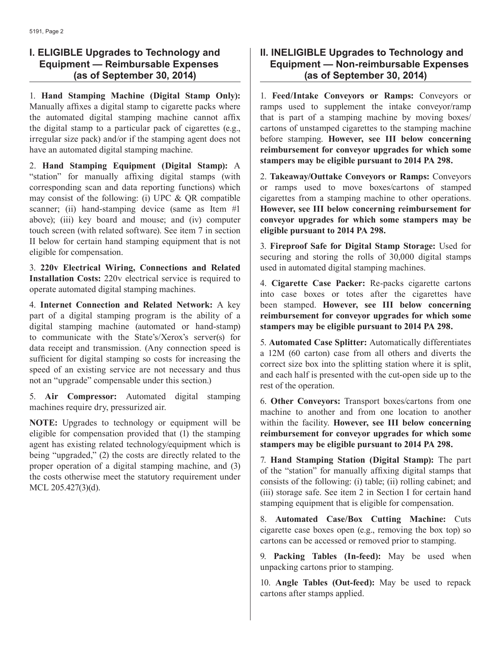## **I. ELIGIBLE Upgrades to Technology and Equipment — Reimbursable Expenses (as of September 30, 2014)**

1. **Hand Stamping Machine (Digital Stamp Only):** Manually affixes a digital stamp to cigarette packs where the automated digital stamping machine cannot affix the digital stamp to a particular pack of cigarettes (e.g., irregular size pack) and/or if the stamping agent does not have an automated digital stamping machine.

2. **Hand Stamping Equipment (Digital Stamp):** A "station" for manually affixing digital stamps (with corresponding scan and data reporting functions) which may consist of the following: (i) UPC  $& QR$  compatible scanner; (ii) hand-stamping device (same as Item #1) above); (iii) key board and mouse; and (iv) computer touch screen (with related software). See item 7 in section II below for certain hand stamping equipment that is not eligible for compensation.

3. **220v Electrical Wiring, Connections and Related Installation Costs:** 220v electrical service is required to operate automated digital stamping machines.

4. **Internet Connection and Related Network:** A key part of a digital stamping program is the ability of a digital stamping machine (automated or hand-stamp) to communicate with the State's/Xerox's server(s) for data receipt and transmission. (Any connection speed is sufficient for digital stamping so costs for increasing the speed of an existing service are not necessary and thus not an "upgrade" compensable under this section.)

5. **Air Compressor:** Automated digital stamping machines require dry, pressurized air.

**NOTE:** Upgrades to technology or equipment will be eligible for compensation provided that (1) the stamping agent has existing related technology/equipment which is being "upgraded," (2) the costs are directly related to the proper operation of a digital stamping machine, and (3) the costs otherwise meet the statutory requirement under MCL 205.427(3)(d).

## **II. INELIGIBLE Upgrades to Technology and Equipment — Non-reimbursable Expenses (as of September 30, 2014)**

1. **Feed/Intake Conveyors or Ramps:** Conveyors or ramps used to supplement the intake conveyor/ramp that is part of a stamping machine by moving boxes/ cartons of unstamped cigarettes to the stamping machine before stamping. **However, see III below concerning reimbursement for conveyor upgrades for which some stampers may be eligible pursuant to 2014 PA 298.**

2. **Takeaway/Outtake Conveyors or Ramps:** Conveyors or ramps used to move boxes/cartons of stamped cigarettes from a stamping machine to other operations. **However, see III below concerning reimbursement for conveyor upgrades for which some stampers may be eligible pursuant to 2014 PA 298.**

3. **Fireproof Safe for Digital Stamp Storage:** Used for securing and storing the rolls of 30,000 digital stamps used in automated digital stamping machines.

4. **Cigarette Case Packer:** Re-packs cigarette cartons into case boxes or totes after the cigarettes have been stamped. **However, see III below concerning reimbursement for conveyor upgrades for which some stampers may be eligible pursuant to 2014 PA 298.**

5. **Automated Case Splitter:** Automatically differentiates a 12M (60 carton) case from all others and diverts the correct size box into the splitting station where it is split, and each half is presented with the cut-open side up to the rest of the operation.

6. **Other Conveyors:** Transport boxes/cartons from one machine to another and from one location to another within the facility. **However, see III below concerning reimbursement for conveyor upgrades for which some stampers may be eligible pursuant to 2014 PA 298.**

7. **Hand Stamping Station (Digital Stamp):** The part of the "station" for manually affixing digital stamps that consists of the following: (i) table; (ii) rolling cabinet; and (iii) storage safe. See item 2 in Section I for certain hand stamping equipment that is eligible for compensation.

8. **Automated Case/Box Cutting Machine:** Cuts cigarette case boxes open (e.g., removing the box top) so cartons can be accessed or removed prior to stamping.

9. **Packing Tables (In-feed):** May be used when unpacking cartons prior to stamping.

10. **Angle Tables (Out-feed):** May be used to repack cartons after stamps applied.